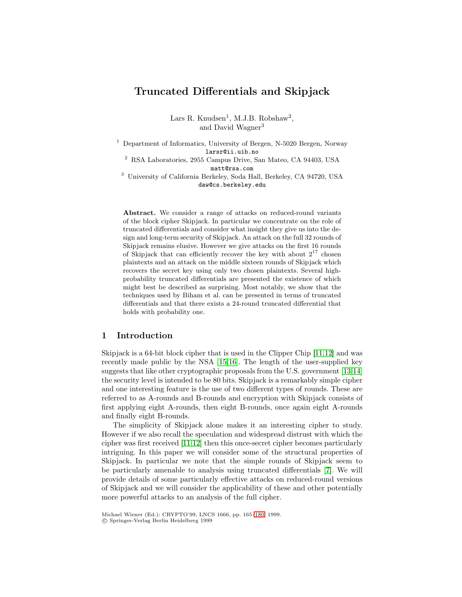# **Truncated Differentials and Skipjack**

Lars R. Knudsen<sup>1</sup>, M.J.B. Robshaw<sup>2</sup>. and David Wagner<sup>3</sup>

<sup>1</sup> Department of Informatics, University of Bergen, N-5020 Bergen, Norway larsr@ii.uib.no

<sup>2</sup> RSA Laboratories, 2955 Campus Drive, San Mateo, CA 94403, USA matt@rsa.com

<sup>3</sup> University of California Berkeley, Soda Hall, Berkeley, CA 94720, USA daw@cs.berkeley.edu

Abstract. We consider a range of attacks on reduced-round variants of the block cipher Skipjack. In particular we concentrate on the role of truncated differentials and consider what insight they give us into the design and long-term security of Skipjack. An attack on the full 32 rounds of Skipjack remains elusive. However we give attacks on the first 16 rounds of Skipjack that can efficiently recover the key with about  $2^{17}$  chosen plaintexts and an attack on the middle sixteen rounds of Skipjack which recovers the secret key using only two chosen plaintexts. Several highprobability truncated differentials are presented the existence of which might best be described as surprising. Most notably, we show that the techniques used by Biham et al. can be presented in terms of truncated differentials and that there exists a 24-round truncated differential that holds with probability one.

# **1 Introduction**

Skipjack is a 64-bit block cipher that is used in the Clipper Chip [\[11,12\]](#page-15-0) and was recently made public by the NSA [\[15,16\]](#page-15-0). The length of the user-supplied key suggests that like other cryptographic proposals from the U.S. government [\[13,14\]](#page-15-0) the security level is intended to be 80 bits. Skipjack is a remarkably simple cipher and one interesting feature is the use of two different types of rounds. These are referred to as A-rounds and B-rounds and encryption with Skipjack consists of first applying eight A-rounds, then eight B-rounds, once again eight A-rounds and finally eight B-rounds.

The simplicity of Skipjack alone makes it an interesting cipher to study. However if we also recall the speculation and widespread distrust with which the cipher was first received [\[11,12\]](#page-15-0) then this once-secret cipher becomes particularly intriguing. In this paper we will consider some of the structural properties of Skipjack. In particular we note that the simple rounds of Skipjack seem to be particularly amenable to analysis using truncated differentials [\[7\]](#page-15-0). We will provide details of some particularly effective attacks on reduced-round versions of Skipjack and we will consider the applicability of these and other potentially more powerful attacks to an analysis of the full cipher.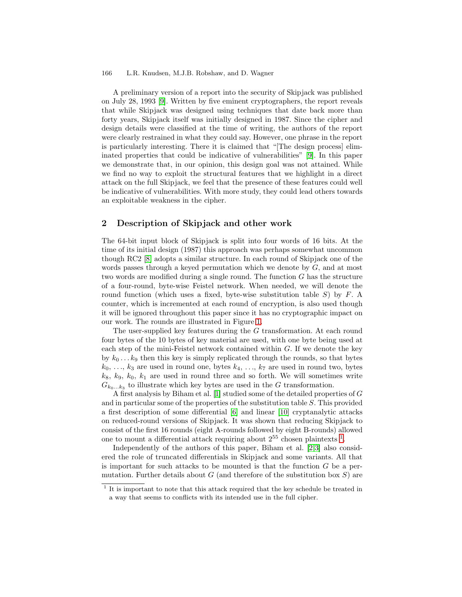A preliminary version of a report into the security of Skipjack was published on July 28, 1993 [\[9\]](#page-15-0). Written by five eminent cryptographers, the report reveals that while Skipjack was designed using techniques that date back more than forty years, Skipjack itself was initially designed in 1987. Since the cipher and design details were classified at the time of writing, the authors of the report were clearly restrained in what they could say. However, one phrase in the report is particularly interesting. There it is claimed that "[The design process] eliminated properties that could be indicative of vulnerabilities" [\[9\]](#page-15-0). In this paper we demonstrate that, in our opinion, this design goal was not attained. While we find no way to exploit the structural features that we highlight in a direct attack on the full Skipjack, we feel that the presence of these features could well be indicative of vulnerabilities. With more study, they could lead others towards an exploitable weakness in the cipher.

# **2 Description of Skipjack and other work**

The 64-bit input block of Skipjack is split into four words of 16 bits. At the time of its initial design (1987) this approach was perhaps somewhat uncommon though RC2 [\[8\]](#page-15-0) adopts a similar structure. In each round of Skipjack one of the words passes through a keyed permutation which we denote by  $G$ , and at most two words are modified during a single round. The function G has the structure of a four-round, byte-wise Feistel network. When needed, we will denote the round function (which uses a fixed, byte-wise substitution table  $S$ ) by  $F$ . A counter, which is incremented at each round of encryption, is also used though it will be ignored throughout this paper since it has no cryptographic impact on our work. The rounds are illustrated in Figure [1.](#page-2-0)

The user-supplied key features during the G transformation. At each round four bytes of the 10 bytes of key material are used, with one byte being used at each step of the mini-Feistel network contained within G. If we denote the key by  $k_0 \ldots k_9$  then this key is simply replicated through the rounds, so that bytes  $k_0, \ldots, k_3$  are used in round one, bytes  $k_4, \ldots, k_7$  are used in round two, bytes  $k_8, k_9, k_0, k_1$  are used in round three and so forth. We will sometimes write  $G_{k_0...k_3}$  to illustrate which key bytes are used in the G transformation.

A first analysis by Biham et al. [\[1\]](#page-14-0) studied some of the detailed properties of G and in particular some of the properties of the substitution table S. This provided a first description of some differential [\[6\]](#page-15-0) and linear [\[10\]](#page-15-0) cryptanalytic attacks on reduced-round versions of Skipjack. It was shown that reducing Skipjack to consist of the first 16 rounds (eight A-rounds followed by eight B-rounds) allowed one to mount a differential attack requiring about  $2^{55}$  chosen plaintexts <sup>1</sup>.

Independently of the authors of this paper, Biham et al. [\[2](#page-14-0)[,3\]](#page-15-0) also considered the role of truncated differentials in Skipjack and some variants. All that is important for such attacks to be mounted is that the function  $G$  be a permutation. Further details about G (and therefore of the substitution box  $S$ ) are

<sup>1</sup> It is important to note that this attack required that the key schedule be treated in a way that seems to conflicts with its intended use in the full cipher.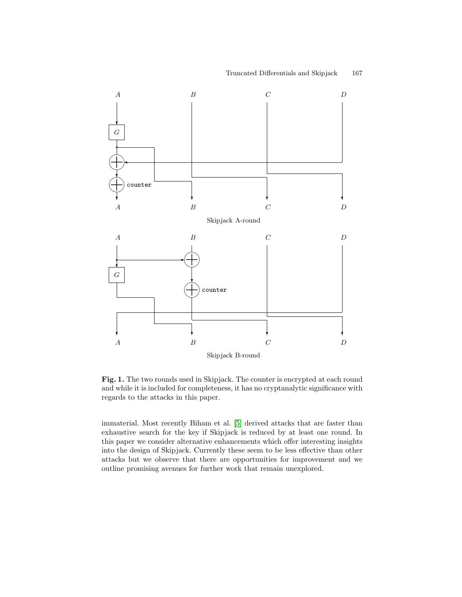<span id="page-2-0"></span>

**Fig. 1.** The two rounds used in Skipjack. The counter is encrypted at each round and while it is included for completeness, it has no cryptanalytic significance with regards to the attacks in this paper.

immaterial. Most recently Biham et al. [\[5\]](#page-15-0) derived attacks that are faster than exhaustive search for the key if Skipjack is reduced by at least one round. In this paper we consider alternative enhancements which offer interesting insights into the design of Skipjack. Currently these seem to be less effective than other attacks but we observe that there are opportunities for improvement and we outline promising avenues for further work that remain unexplored.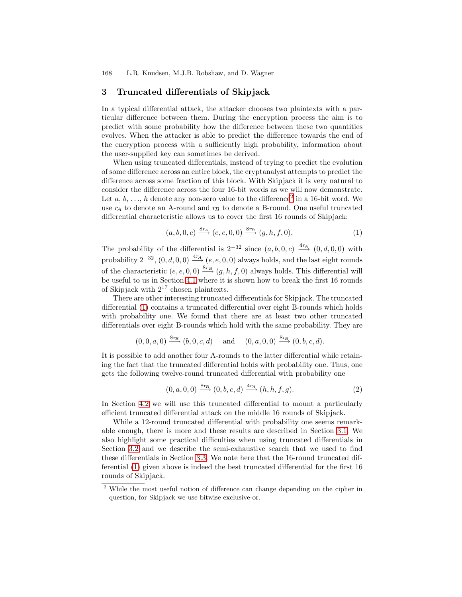# <span id="page-3-0"></span>**3 Truncated differentials of Skipjack**

In a typical differential attack, the attacker chooses two plaintexts with a particular difference between them. During the encryption process the aim is to predict with some probability how the difference between these two quantities evolves. When the attacker is able to predict the difference towards the end of the encryption process with a sufficiently high probability, information about the user-supplied key can sometimes be derived.

When using truncated differentials, instead of trying to predict the evolution of some difference across an entire block, the cryptanalyst attempts to predict the difference across some fraction of this block. With Skipjack it is very natural to consider the difference across the four 16-bit words as we will now demonstrate. Let a, b, ..., h denote any non-zero value to the difference<sup>2</sup> in a 16-bit word. We use  $r_A$  to denote an A-round and  $r_B$  to denote a B-round. One useful truncated differential characteristic allows us to cover the first 16 rounds of Skipjack:

$$
(a,b,0,c) \xrightarrow{8r_A} (e,e,0,0) \xrightarrow{8r_B} (g,h,f,0), \tag{1}
$$

The probability of the differential is  $2^{-32}$  since  $(a, b, 0, c) \xrightarrow{4r_A} (0, d, 0, 0)$  with probability  $2^{-32}$ ,  $(0, d, 0, 0) \xrightarrow{4r_A} (e, e, 0, 0)$  always holds, and the last eight rounds of the characteristic  $(e, e, 0, 0) \xrightarrow{8r_B} (g, h, f, 0)$  always holds. This differential will be useful to us in Section [4.1](#page-7-0) where it is shown how to break the first 16 rounds of Skipjack with  $2^{17}$  chosen plaintexts.

There are other interesting truncated differentials for Skipjack. The truncated differential (1) contains a truncated differential over eight B-rounds which holds with probability one. We found that there are at least two other truncated differentials over eight B-rounds which hold with the same probability. They are

$$
(0,0,a,0) \xrightarrow{8r_B} (b,0,c,d)
$$
 and  $(0,a,0,0) \xrightarrow{8r_B} (0,b,c,d)$ .

It is possible to add another four A-rounds to the latter differential while retaining the fact that the truncated differential holds with probability one. Thus, one gets the following twelve-round truncated differential with probability one

$$
(0, a, 0, 0) \xrightarrow{8r_B} (0, b, c, d) \xrightarrow{4r_A} (h, h, f, g).
$$
 (2)

In Section [4.2](#page-8-0) we will use this truncated differential to mount a particularly efficient truncated differential attack on the middle 16 rounds of Skipjack.

While a 12-round truncated differential with probability one seems remarkable enough, there is more and these results are described in Section [3.1.](#page-4-0) We also highlight some practical difficulties when using truncated differentials in Section [3.2](#page-5-0) and we describe the semi-exhaustive search that we used to find these differentials in Section [3.3.](#page-6-0) We note here that the 16-round truncated differential (1) given above is indeed the best truncated differential for the first 16 rounds of Skipjack.

 $^{\rm 2}$  While the most useful notion of difference can change depending on the cipher in question, for Skipjack we use bitwise exclusive-or.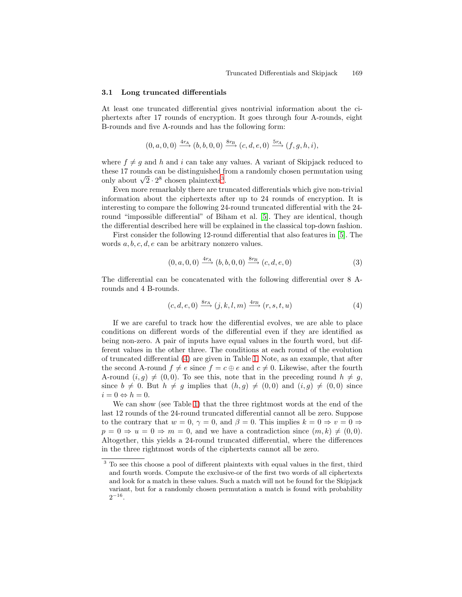#### <span id="page-4-0"></span>**3.1 Long truncated differentials**

At least one truncated differential gives nontrivial information about the ciphertexts after 17 rounds of encryption. It goes through four A-rounds, eight B-rounds and five A-rounds and has the following form:

$$
(0, a, 0, 0) \xrightarrow{4r_A} (b, b, 0, 0) \xrightarrow{8r_B} (c, d, e, 0) \xrightarrow{5r_A} (f, g, h, i),
$$

where  $f \neq g$  and h and i can take any values. A variant of Skipjack reduced to these 17 rounds can be distinguished from a randomly chosen permutation using only about  $\sqrt{2} \cdot 2^8$  chosen plaintexts<sup>3</sup>.

Even more remarkably there are truncated differentials which give non-trivial information about the ciphertexts after up to 24 rounds of encryption. It is interesting to compare the following 24-round truncated differential with the 24 round "impossible differential" of Biham et al. [\[5\]](#page-15-0). They are identical, though the differential described here will be explained in the classical top-down fashion.

First consider the following 12-round differential that also features in [\[5\]](#page-15-0). The words a, b, c, d, e can be arbitrary nonzero values.

$$
(0, a, 0, 0) \xrightarrow{4r_A} (b, b, 0, 0) \xrightarrow{8r_B} (c, d, e, 0)
$$
\n
$$
(3)
$$

The differential can be concatenated with the following differential over 8 Arounds and 4 B-rounds.

$$
(c,d,e,0) \xrightarrow{8r_A} (j,k,l,m) \xrightarrow{4r_B} (r,s,t,u)
$$
 (4)

If we are careful to track how the differential evolves, we are able to place conditions on different words of the differential even if they are identified as being non-zero. A pair of inputs have equal values in the fourth word, but different values in the other three. The conditions at each round of the evolution of truncated differential (4) are given in Table [1.](#page-5-0) Note, as an example, that after the second A-round  $f \neq e$  since  $f = c \oplus e$  and  $c \neq 0$ . Likewise, after the fourth A-round  $(i, g) \neq (0, 0)$ . To see this, note that in the preceding round  $h \neq q$ , since  $b \neq 0$ . But  $h \neq g$  implies that  $(h, g) \neq (0, 0)$  and  $(i, g) \neq (0, 0)$  since  $i = 0 \Leftrightarrow h = 0.$ 

We can show (see Table [1\)](#page-5-0) that the three rightmost words at the end of the last 12 rounds of the 24-round truncated differential cannot all be zero. Suppose to the contrary that  $w = 0$ ,  $\gamma = 0$ , and  $\beta = 0$ . This implies  $k = 0 \Rightarrow v = 0 \Rightarrow$  $p = 0 \Rightarrow u = 0 \Rightarrow m = 0$ , and we have a contradiction since  $(m, k) \neq (0, 0)$ . Altogether, this yields a 24-round truncated differential, where the differences in the three rightmost words of the ciphertexts cannot all be zero.

 $3$  To see this choose a pool of different plaintexts with equal values in the first, third and fourth words. Compute the exclusive-or of the first two words of all ciphertexts and look for a match in these values. Such a match will not be found for the Skipjack variant, but for a randomly chosen permutation a match is found with probability  $2^{-16}$ .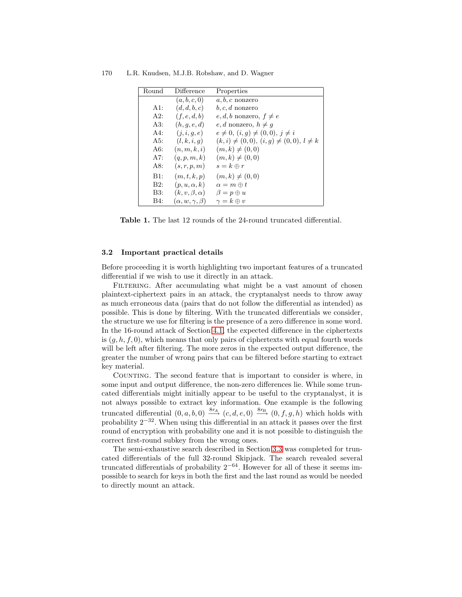<span id="page-5-0"></span>

| Round      | Difference                   | Properties                                         |
|------------|------------------------------|----------------------------------------------------|
|            | (a,b,c,0)                    | $a, b, c$ nonzero                                  |
| A1:        | (d,d,b,c)                    | $b, c, d$ nonzero                                  |
| A2:        | (f, e, d, b)                 | $e, d, b$ nonzero, $f \neq e$                      |
| A3:        | (h,q,e,d)                    | e, d nonzero, $h \neq q$                           |
| A4:        | (i,i,q,e)                    | $e \neq 0, (i, g) \neq (0, 0), j \neq i$           |
| A5:        | (l, k, i, q)                 | $(k, i) \neq (0, 0), (i, g) \neq (0, 0), l \neq k$ |
| A6:        | (n, m, k, i)                 | $(m, k) \neq (0, 0)$                               |
| A7:        | (q, p, m, k)                 | $(m, k) \neq (0, 0)$                               |
| A8:        | (s,r,p,m)                    | $s = k \oplus r$                                   |
| B1:        | (m, t, k, p)                 | $(m, k) \neq (0, 0)$                               |
| B2:        | $(p, u, \alpha, k)$          | $\alpha = m \oplus t$                              |
| B3:        | $(k, v, \beta, \alpha)$      | $\beta = p \oplus u$                               |
| <b>B4:</b> | $(\alpha, w, \gamma, \beta)$ | $\gamma = k \oplus v$                              |

**Table 1.** The last 12 rounds of the 24-round truncated differential.

#### **3.2 Important practical details**

Before proceeding it is worth highlighting two important features of a truncated differential if we wish to use it directly in an attack.

FILTERING. After accumulating what might be a vast amount of chosen plaintext-ciphertext pairs in an attack, the cryptanalyst needs to throw away as much erroneous data (pairs that do not follow the differential as intended) as possible. This is done by filtering. With the truncated differentials we consider, the structure we use for filtering is the presence of a zero difference in some word. In the 16-round attack of Section [4.1,](#page-7-0) the expected difference in the ciphertexts is  $(q, h, f, 0)$ , which means that only pairs of ciphertexts with equal fourth words will be left after filtering. The more zeros in the expected output difference, the greater the number of wrong pairs that can be filtered before starting to extract key material.

COUNTING. The second feature that is important to consider is where, in some input and output difference, the non-zero differences lie. While some truncated differentials might initially appear to be useful to the cryptanalyst, it is not always possible to extract key information. One example is the following truncated differential  $(0, a, b, 0) \xrightarrow{8r_A} (c, d, e, 0) \xrightarrow{8r_B} (0, f, g, h)$  which holds with probability 2−<sup>32</sup>. When using this differential in an attack it passes over the first round of encryption with probability one and it is not possible to distinguish the correct first-round subkey from the wrong ones.

The semi-exhaustive search described in Section [3.3](#page-6-0) was completed for truncated differentials of the full 32-round Skipjack. The search revealed several truncated differentials of probability  $2^{-64}$ . However for all of these it seems impossible to search for keys in both the first and the last round as would be needed to directly mount an attack.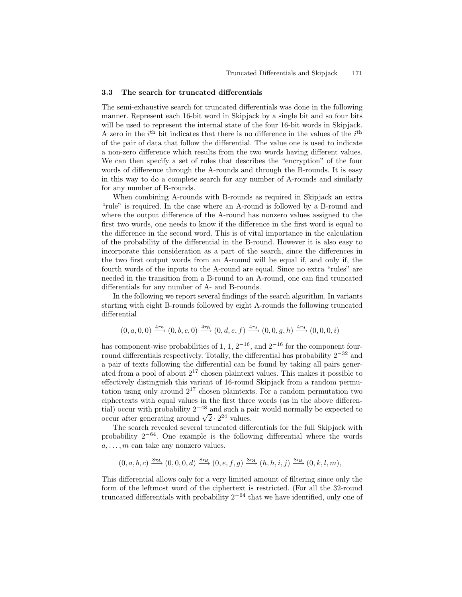### <span id="page-6-0"></span>**3.3 The search for truncated differentials**

The semi-exhaustive search for truncated differentials was done in the following manner. Represent each 16-bit word in Skipjack by a single bit and so four bits will be used to represent the internal state of the four 16-bit words in Skipjack. A zero in the  $i<sup>th</sup>$  bit indicates that there is no difference in the values of the  $i<sup>th</sup>$ of the pair of data that follow the differential. The value one is used to indicate a non-zero difference which results from the two words having different values. We can then specify a set of rules that describes the "encryption" of the four words of difference through the A-rounds and through the B-rounds. It is easy in this way to do a complete search for any number of A-rounds and similarly for any number of B-rounds.

When combining A-rounds with B-rounds as required in Skipjack an extra "rule" is required. In the case where an A-round is followed by a B-round and where the output difference of the A-round has nonzero values assigned to the first two words, one needs to know if the difference in the first word is equal to the difference in the second word. This is of vital importance in the calculation of the probability of the differential in the B-round. However it is also easy to incorporate this consideration as a part of the search, since the differences in the two first output words from an A-round will be equal if, and only if, the fourth words of the inputs to the A-round are equal. Since no extra "rules" are needed in the transition from a B-round to an A-round, one can find truncated differentials for any number of A- and B-rounds.

In the following we report several findings of the search algorithm. In variants starting with eight B-rounds followed by eight A-rounds the following truncated differential

$$
(0, a, 0, 0) \xrightarrow{4r_B} (0, b, c, 0) \xrightarrow{4r_B} (0, d, e, f) \xrightarrow{4r_A} (0, 0, g, h) \xrightarrow{4r_A} (0, 0, 0, i)
$$

has component-wise probabilities of 1, 1,  $2^{-16}$ , and  $2^{-16}$  for the component fourround differentials respectively. Totally, the differential has probability 2−<sup>32</sup> and a pair of texts following the differential can be found by taking all pairs generated from a pool of about 2<sup>17</sup> chosen plaintext values. This makes it possible to effectively distinguish this variant of 16-round Skipjack from a random permutation using only around  $2^{17}$  chosen plaintexts. For a random permutation two ciphertexts with equal values in the first three words (as in the above differential) occur with probability  $2^{-48}$  and such a pair would normally be expected to occur after generating around  $\sqrt{2} \cdot 2^{24}$  values.

The search revealed several truncated differentials for the full Skipjack with probability 2−<sup>64</sup>. One example is the following differential where the words  $a, \ldots, m$  can take any nonzero values.

$$
(0, a, b, c) \xrightarrow{8r_A} (0, 0, 0, d) \xrightarrow{8r_B} (0, e, f, g) \xrightarrow{8r_A} (h, h, i, j) \xrightarrow{8r_B} (0, k, l, m),
$$

This differential allows only for a very limited amount of filtering since only the form of the leftmost word of the ciphertext is restricted. (For all the 32-round truncated differentials with probability  $2^{-64}$  that we have identified, only one of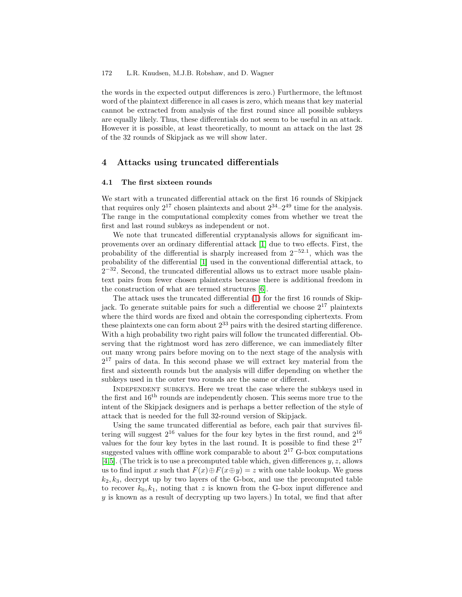<span id="page-7-0"></span>the words in the expected output differences is zero.) Furthermore, the leftmost word of the plaintext difference in all cases is zero, which means that key material cannot be extracted from analysis of the first round since all possible subkeys are equally likely. Thus, these differentials do not seem to be useful in an attack. However it is possible, at least theoretically, to mount an attack on the last 28 of the 32 rounds of Skipjack as we will show later.

# **4 Attacks using truncated differentials**

### **4.1 The first sixteen rounds**

We start with a truncated differential attack on the first 16 rounds of Skipjack that requires only  $2^{17}$  chosen plaintexts and about  $2^{34}-2^{49}$  time for the analysis. The range in the computational complexity comes from whether we treat the first and last round subkeys as independent or not.

We note that truncated differential cryptanalysis allows for significant improvements over an ordinary differential attack [\[1\]](#page-14-0) due to two effects. First, the probability of the differential is sharply increased from  $2^{-52.1}$ , which was the probability of the differential [\[1\]](#page-14-0) used in the conventional differential attack, to  $2^{-32}$ . Second, the truncated differential allows us to extract more usable plaintext pairs from fewer chosen plaintexts because there is additional freedom in the construction of what are termed structures [\[6\]](#page-15-0).

The attack uses the truncated differential [\(1\)](#page-3-0) for the first 16 rounds of Skipjack. To generate suitable pairs for such a differential we choose  $2^{17}$  plaintexts where the third words are fixed and obtain the corresponding ciphertexts. From these plaintexts one can form about  $2^{33}$  pairs with the desired starting difference. With a high probability two right pairs will follow the truncated differential. Observing that the rightmost word has zero difference, we can immediately filter out many wrong pairs before moving on to the next stage of the analysis with  $2^{17}$  pairs of data. In this second phase we will extract key material from the first and sixteenth rounds but the analysis will differ depending on whether the subkeys used in the outer two rounds are the same or different.

Independent subkeys. Here we treat the case where the subkeys used in the first and  $16<sup>th</sup>$  rounds are independently chosen. This seems more true to the intent of the Skipjack designers and is perhaps a better reflection of the style of attack that is needed for the full 32-round version of Skipjack.

Using the same truncated differential as before, each pair that survives filtering will suggest  $2^{16}$  values for the four key bytes in the first round, and  $2^{16}$ values for the four key bytes in the last round. It is possible to find these  $2^{17}$ suggested values with offline work comparable to about  $2^{17}$  G-box computations [\[4,5\]](#page-15-0). (The trick is to use a precomputed table which, given differences  $y, z$ , allows us to find input x such that  $F(x) \oplus F(x \oplus y) = z$  with one table lookup. We guess  $k_2, k_3$ , decrypt up by two layers of the G-box, and use the precomputed table to recover  $k_0, k_1$ , noting that z is known from the G-box input difference and y is known as a result of decrypting up two layers.) In total, we find that after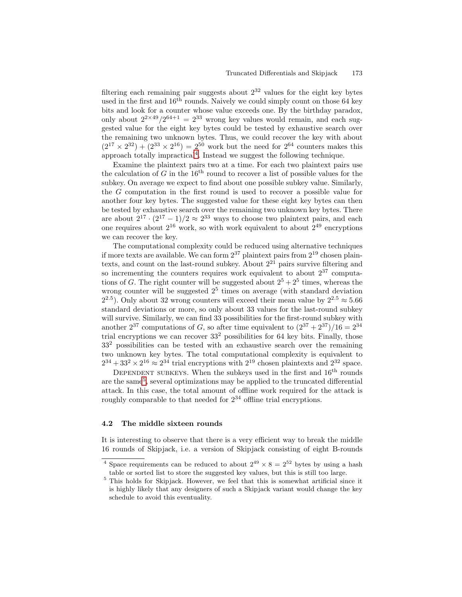<span id="page-8-0"></span>filtering each remaining pair suggests about  $2^{32}$  values for the eight key bytes used in the first and  $16<sup>th</sup>$  rounds. Naively we could simply count on those 64 key bits and look for a counter whose value exceeds one. By the birthday paradox, only about  $2^{2\times49}/2^{64+1} = 2^{33}$  wrong key values would remain, and each suggested value for the eight key bytes could be tested by exhaustive search over the remaining two unknown bytes. Thus, we could recover the key with about  $(2^{17} \times 2^{32}) + (2^{33} \times 2^{16}) = 2^{50}$  work but the need for  $2^{64}$  counters makes this approach totally impractical<sup>4</sup>. Instead we suggest the following technique.

Examine the plaintext pairs two at a time. For each two plaintext pairs use the calculation of G in the 16<sup>th</sup> round to recover a list of possible values for the subkey. On average we expect to find about one possible subkey value. Similarly, the G computation in the first round is used to recover a possible value for another four key bytes. The suggested value for these eight key bytes can then be tested by exhaustive search over the remaining two unknown key bytes. There are about  $2^{17} \cdot (2^{17} - 1)/2 \approx 2^{33}$  ways to choose two plaintext pairs, and each one requires about  $2^{16}$  work, so with work equivalent to about  $2^{49}$  encryptions we can recover the key.

The computational complexity could be reduced using alternative techniques if more texts are available. We can form  $2^{37}$  plaintext pairs from  $2^{19}$  chosen plaintexts, and count on the last-round subkey. About  $2^{21}$  pairs survive filtering and so incrementing the counters requires work equivalent to about  $2^{37}$  computations of G. The right counter will be suggested about  $2^5 + 2^5$  times, whereas the wrong counter will be suggested  $2<sup>5</sup>$  times on average (with standard deviation  $2^{2.5}$ ). Only about 32 wrong counters will exceed their mean value by  $2^{2.5} \approx 5.66$ standard deviations or more, so only about 33 values for the last-round subkey will survive. Similarly, we can find 33 possibilities for the first-round subkey with another  $2^{37}$  computations of G, so after time equivalent to  $(2^{37} + 2^{37})/16 = 2^{34}$ trial encryptions we can recover  $33<sup>2</sup>$  possibilities for 64 key bits. Finally, those  $33<sup>2</sup>$  possibilities can be tested with an exhaustive search over the remaining two unknown key bytes. The total computational complexity is equivalent to  $2^{34} + 33^2 \times 2^{16} \approx 2^{34}$  trial encryptions with  $2^{19}$  chosen plaintexts and  $2^{32}$  space.

DEPENDENT SUBKEYS. When the subkeys used in the first and 16<sup>th</sup> rounds are the same<sup>5</sup>, several optimizations may be applied to the truncated differential attack. In this case, the total amount of offline work required for the attack is roughly comparable to that needed for  $2^{34}$  offline trial encryptions.

# **4.2 The middle sixteen rounds**

It is interesting to observe that there is a very efficient way to break the middle 16 rounds of Skipjack, i.e. a version of Skipjack consisting of eight B-rounds

<sup>&</sup>lt;sup>4</sup> Space requirements can be reduced to about  $2^{49} \times 8 = 2^{52}$  bytes by using a hash table or sorted list to store the suggested key values, but this is still too large.

<sup>5</sup> This holds for Skipjack. However, we feel that this is somewhat artificial since it is highly likely that any designers of such a Skipjack variant would change the key schedule to avoid this eventuality.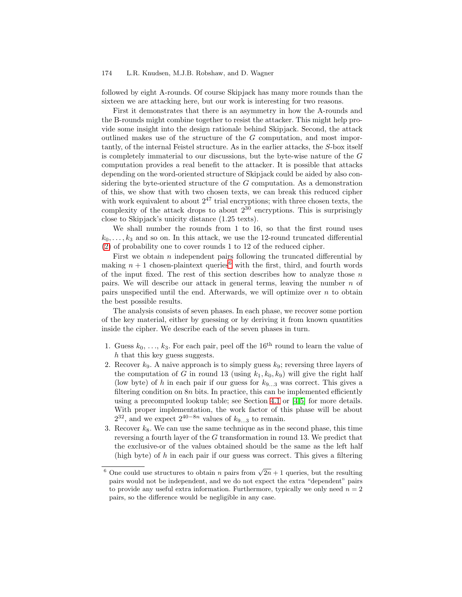followed by eight A-rounds. Of course Skipjack has many more rounds than the sixteen we are attacking here, but our work is interesting for two reasons.

First it demonstrates that there is an asymmetry in how the A-rounds and the B-rounds might combine together to resist the attacker. This might help provide some insight into the design rationale behind Skipjack. Second, the attack outlined makes use of the structure of the G computation, and most importantly, of the internal Feistel structure. As in the earlier attacks, the S-box itself is completely immaterial to our discussions, but the byte-wise nature of the G computation provides a real benefit to the attacker. It is possible that attacks depending on the word-oriented structure of Skipjack could be aided by also considering the byte-oriented structure of the G computation. As a demonstration of this, we show that with two chosen texts, we can break this reduced cipher with work equivalent to about  $2^{47}$  trial encryptions; with three chosen texts, the complexity of the attack drops to about  $2^{30}$  encryptions. This is surprisingly close to Skipjack's unicity distance (1.25 texts).

We shall number the rounds from 1 to 16, so that the first round uses  $k_0, \ldots, k_3$  and so on. In this attack, we use the 12-round truncated differential [\(2\)](#page-3-0) of probability one to cover rounds 1 to 12 of the reduced cipher.

First we obtain  $n$  independent pairs following the truncated differential by making  $n + 1$  chosen-plaintext queries<sup>6</sup> with the first, third, and fourth words of the input fixed. The rest of this section describes how to analyze those  $n$ pairs. We will describe our attack in general terms, leaving the number n of pairs unspecified until the end. Afterwards, we will optimize over  $n$  to obtain the best possible results.

The analysis consists of seven phases. In each phase, we recover some portion of the key material, either by guessing or by deriving it from known quantities inside the cipher. We describe each of the seven phases in turn.

- 1. Guess  $k_0, \ldots, k_3$ . For each pair, peel off the 16<sup>th</sup> round to learn the value of h that this key guess suggests.
- 2. Recover  $k_9$ . A naive approach is to simply guess  $k_9$ ; reversing three layers of the computation of G in round 13 (using  $k_1, k_0, k_9$ ) will give the right half (low byte) of h in each pair if our guess for  $k_{9...3}$  was correct. This gives a filtering condition on  $8n$  bits. In practice, this can be implemented efficiently using a precomputed lookup table; see Section [4.1](#page-7-0) or  $|4,5|$  for more details. With proper implementation, the work factor of this phase will be about  $2^{32}$ , and we expect  $2^{40-8n}$  values of  $k_{9...3}$  to remain.
- 3. Recover  $k_8$ . We can use the same technique as in the second phase, this time reversing a fourth layer of the G transformation in round 13. We predict that the exclusive-or of the values obtained should be the same as the left half (high byte) of  $h$  in each pair if our guess was correct. This gives a filtering

<sup>&</sup>lt;sup>6</sup> One could use structures to obtain *n* pairs from  $\sqrt{2n} + 1$  queries, but the resulting pairs would not be independent, and we do not expect the extra "dependent" pairs to provide any useful extra information. Furthermore, typically we only need  $n = 2$ pairs, so the difference would be negligible in any case.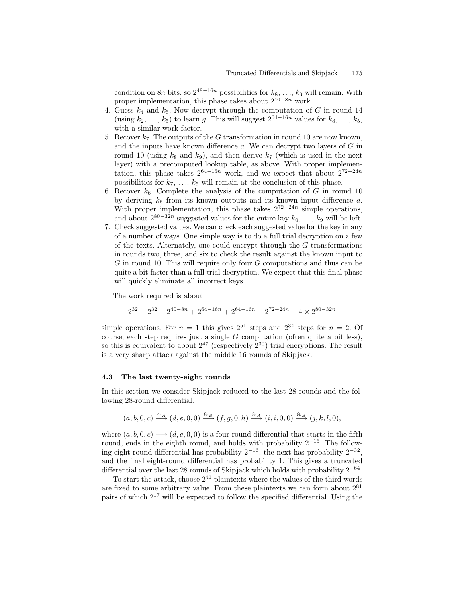condition on 8n bits, so  $2^{48-16n}$  possibilities for  $k_8, \ldots, k_3$  will remain. With proper implementation, this phase takes about  $2^{40-8n}$  work.

- 4. Guess  $k_4$  and  $k_5$ . Now decrypt through the computation of G in round 14 (using  $k_2, \ldots, k_5$ ) to learn g. This will suggest  $2^{64-16n}$  values for  $k_8, \ldots, k_5$ , with a similar work factor.
- 5. Recover  $k_7$ . The outputs of the G transformation in round 10 are now known, and the inputs have known difference  $a$ . We can decrypt two layers of  $G$  in round 10 (using  $k_8$  and  $k_9$ ), and then derive  $k_7$  (which is used in the next layer) with a precomputed lookup table, as above. With proper implementation, this phase takes  $2^{64-16n}$  work, and we expect that about  $2^{72-24n}$ possibilities for  $k_7, \ldots, k_5$  will remain at the conclusion of this phase.
- 6. Recover  $k_6$ . Complete the analysis of the computation of G in round 10 by deriving  $k<sub>6</sub>$  from its known outputs and its known input difference a. With proper implementation, this phase takes  $2^{72-24n}$  simple operations, and about  $2^{80-32n}$  suggested values for the entire key  $k_0, \ldots, k_9$  will be left.
- 7. Check suggested values. We can check each suggested value for the key in any of a number of ways. One simple way is to do a full trial decryption on a few of the texts. Alternately, one could encrypt through the G transformations in rounds two, three, and six to check the result against the known input to  $G$  in round 10. This will require only four  $G$  computations and thus can be quite a bit faster than a full trial decryption. We expect that this final phase will quickly eliminate all incorrect keys.

The work required is about

$$
2^{32} + 2^{32} + 2^{40 - 8n} + 2^{64 - 16n} + 2^{64 - 16n} + 2^{72 - 24n} + 4 \times 2^{80 - 32n}
$$

simple operations. For  $n = 1$  this gives  $2^{51}$  steps and  $2^{34}$  steps for  $n = 2$ . Of course, each step requires just a single  $G$  computation (often quite a bit less), so this is equivalent to about  $2^{47}$  (respectively  $2^{30}$ ) trial encryptions. The result is a very sharp attack against the middle 16 rounds of Skipjack.

# **4.3 The last twenty-eight rounds**

In this section we consider Skipjack reduced to the last 28 rounds and the following 28-round differential:

$$
(a,b,0,c) \xrightarrow{4r_A} (d,e,0,0) \xrightarrow{8r_B} (f,g,0,h) \xrightarrow{8r_A} (i,i,0,0) \xrightarrow{8r_B} (j,k,l,0),
$$

where  $(a, b, 0, c) \longrightarrow (d, e, 0, 0)$  is a four-round differential that starts in the fifth round, ends in the eighth round, and holds with probability 2−<sup>16</sup>. The following eight-round differential has probability  $2^{-16}$ , the next has probability  $2^{-32}$ , and the final eight-round differential has probability 1. This gives a truncated differential over the last 28 rounds of Skipjack which holds with probability  $2^{-64}$ .

To start the attack, choose  $2^{41}$  plaintexts where the values of the third words are fixed to some arbitrary value. From these plaintexts we can form about  $2^{81}$ pairs of which  $2^{17}$  will be expected to follow the specified differential. Using the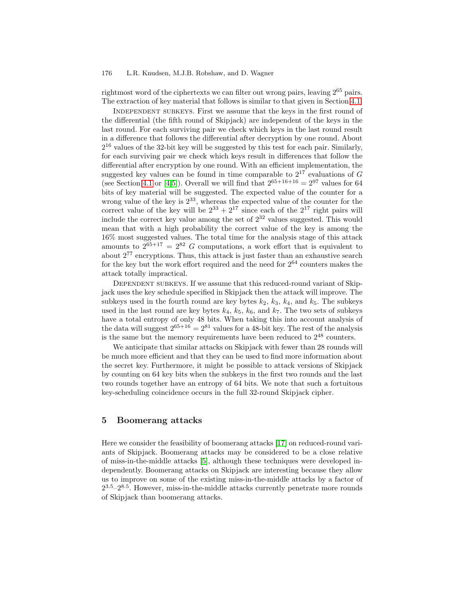rightmost word of the ciphertexts we can filter out wrong pairs, leaving 2<sup>65</sup> pairs. The extraction of key material that follows is similar to that given in Section [4.1.](#page-7-0)

Independent subkeys. First we assume that the keys in the first round of the differential (the fifth round of Skipjack) are independent of the keys in the last round. For each surviving pair we check which keys in the last round result in a difference that follows the differential after decryption by one round. About  $2^{16}$  values of the 32-bit key will be suggested by this test for each pair. Similarly, for each surviving pair we check which keys result in differences that follow the differential after encryption by one round. With an efficient implementation, the suggested key values can be found in time comparable to  $2^{17}$  evaluations of G (see Section [4.1](#page-7-0) or [\[4,5\]](#page-15-0)). Overall we will find that  $2^{65+16+16} = 2^{97}$  values for 64 bits of key material will be suggested. The expected value of the counter for a wrong value of the key is  $2^{33}$ , whereas the expected value of the counter for the correct value of the key will be  $2^{33} + 2^{17}$  since each of the  $2^{17}$  right pairs will include the correct key value among the set of  $2^{32}$  values suggested. This would mean that with a high probability the correct value of the key is among the 16% most suggested values. The total time for the analysis stage of this attack amounts to  $2^{65+17} = 2^{82}$  G computations, a work effort that is equivalent to about  $2^{77}$  encryptions. Thus, this attack is just faster than an exhaustive search for the key but the work effort required and the need for  $2^{64}$  counters makes the attack totally impractical.

DEPENDENT SUBKEYS. If we assume that this reduced-round variant of Skipjack uses the key schedule specified in Skipjack then the attack will improve. The subkeys used in the fourth round are key bytes  $k_2$ ,  $k_3$ ,  $k_4$ , and  $k_5$ . The subkeys used in the last round are key bytes  $k_4$ ,  $k_5$ ,  $k_6$ , and  $k_7$ . The two sets of subkeys have a total entropy of only 48 bits. When taking this into account analysis of the data will suggest  $2^{65+16} = 2^{81}$  values for a 48-bit key. The rest of the analysis is the same but the memory requirements have been reduced to  $2^{48}$  counters.

We anticipate that similar attacks on Skipjack with fewer than 28 rounds will be much more efficient and that they can be used to find more information about the secret key. Furthermore, it might be possible to attack versions of Skipjack by counting on 64 key bits when the subkeys in the first two rounds and the last two rounds together have an entropy of 64 bits. We note that such a fortuitous key-scheduling coincidence occurs in the full 32-round Skipjack cipher.

# **5 Boomerang attacks**

Here we consider the feasibility of boomerang attacks [\[17\]](#page-15-0) on reduced-round variants of Skipjack. Boomerang attacks may be considered to be a close relative of miss-in-the-middle attacks [\[5\]](#page-15-0), although these techniques were developed independently. Boomerang attacks on Skipjack are interesting because they allow us to improve on some of the existing miss-in-the-middle attacks by a factor of  $2^{3.5} - 2^{8.5}$ . However, miss-in-the-middle attacks currently penetrate more rounds of Skipjack than boomerang attacks.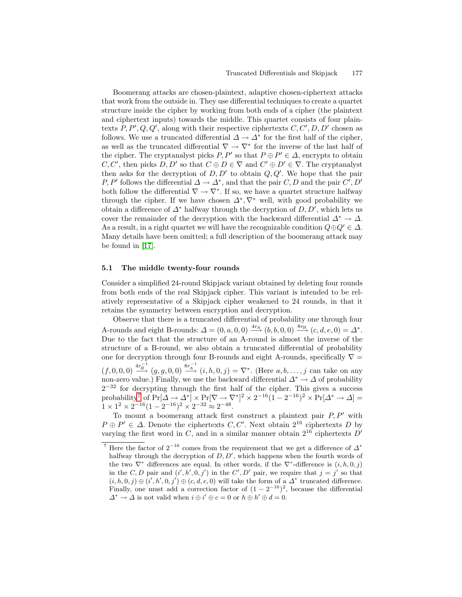Boomerang attacks are chosen-plaintext, adaptive chosen-ciphertext attacks that work from the outside in. They use differential techniques to create a quartet structure inside the cipher by working from both ends of a cipher (the plaintext and ciphertext inputs) towards the middle. This quartet consists of four plaintexts  $P, P', Q, Q'$ , along with their respective ciphertexts  $C, C', D, D'$  chosen as follows. We use a truncated differential  $\Delta \to \Delta^*$  for the first half of the cipher, as well as the truncated differential  $\nabla \rightarrow \nabla^*$  for the inverse of the last half of the cipher. The cryptanalyst picks  $P, P'$  so that  $P \oplus P' \in \Delta$ , encrypts to obtain  $C, C',$  then picks  $D, D'$  so that  $C \oplus D \in \nabla$  and  $C' \oplus D' \in \nabla$ . The cryptanalyst then asks for the decryption of  $D, D'$  to obtain  $Q, Q'$ . We hope that the pair P, P' follows the differential  $\Delta \to \Delta^*$ , and that the pair C, D and the pair C', D' both follow the differential  $\nabla \rightarrow \nabla^*$ . If so, we have a quartet structure halfway through the cipher. If we have chosen  $\Delta^*, \nabla^*$  well, with good probability we obtain a difference of  $\Delta^*$  halfway through the decryption of  $D, D'$ , which lets us cover the remainder of the decryption with the backward differential  $\Delta^* \to \Delta$ . As a result, in a right quartet we will have the recognizable condition  $Q \oplus Q' \in \Delta$ . Many details have been omitted; a full description of the boomerang attack may be found in [\[17\]](#page-15-0).

### **5.1 The middle twenty-four rounds**

Consider a simplified 24-round Skipjack variant obtained by deleting four rounds from both ends of the real Skipjack cipher. This variant is intended to be relatively representative of a Skipjack cipher weakened to 24 rounds, in that it retains the symmetry between encryption and decryption.

Observe that there is a truncated differential of probability one through four A-rounds and eight B-rounds:  $\Delta = (0, a, 0, 0) \xrightarrow{4r_A} (b, b, 0, 0) \xrightarrow{8r_B} (c, d, e, 0) = \Delta^*$ . Due to the fact that the structure of an A-round is almost the inverse of the structure of a B-round, we also obtain a truncated differential of probability one for decryption through four B-rounds and eight A-rounds, specifically  $\nabla =$  $(f, 0, 0, 0) \xrightarrow{4r_{\mathbf{B}}^{-1}} (g, g, 0, 0) \xrightarrow{8r_{\mathbf{A}}^{-1}} (i, h, 0, j) = \nabla^*$ . (Here  $a, b, \ldots, j$  can take on any non-zero value.) Finally, we use the backward differential  $\Delta^* \to \Delta$  of probability  $2^{-32}$  for decrypting through the first half of the cipher. This gives a success probability<sup>7</sup> of Pr[ $\Delta \rightarrow \Delta^*$ ] × Pr[ $\nabla \rightarrow \nabla^*$ ]<sup>2</sup> × 2<sup>-16</sup>(1 – 2<sup>-16</sup>)<sup>2</sup> × Pr[ $\Delta^* \rightarrow \Delta$ ] =  $1 \times 1^2 \times 2^{-16} (1 - 2^{-16})^2 \times 2^{-32} \approx 2^{-48}.$ 

To mount a boomerang attack first construct a plaintext pair  $P, P'$  with  $P \oplus P' \in \Delta$ . Denote the ciphertexts C, C'. Next obtain  $2^{16}$  ciphertexts D by varying the first word in  $C$ , and in a similar manner obtain  $2^{16}$  ciphertexts  $D'$ 

Here the factor of  $2^{-16}$  comes from the requirement that we get a difference of  $\Delta^*$ halfway through the decryption of  $D, D'$ , which happens when the fourth words of the two  $\nabla^*$  differences are equal. In other words, if the  $\nabla^*$ -difference is  $(i, h, 0, i)$ in the C, D pair and  $(i',h',0,j')$  in the C', D' pair, we require that  $j=j'$  so that  $(i, h, 0, j) \oplus (i', h', 0, j') \oplus (c, d, e, 0)$  will take the form of a  $\Delta^*$  truncated difference. Finally, one must add a correction factor of  $(1 - 2^{-16})^2$ , because the differential  $\Delta^* \to \Delta$  is not valid when  $i \oplus i' \oplus c = 0$  or  $h \oplus h' \oplus d = 0$ .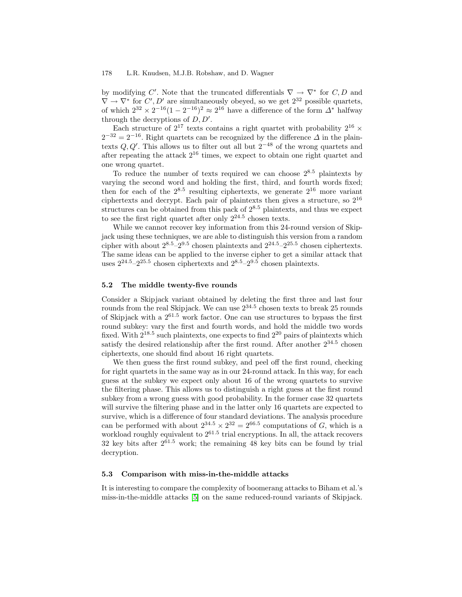by modifying C'. Note that the truncated differentials  $\nabla \to \nabla^*$  for C, D and  $\nabla \rightarrow \nabla^*$  for  $C', D'$  are simultaneously obeyed, so we get  $2^{32}$  possible quartets, of which  $2^{32} \times 2^{-16} (1 - 2^{-16})^2 \approx 2^{16}$  have a difference of the form  $\Delta^*$  halfway through the decryptions of  $D, D'$ .

Each structure of  $2^{17}$  texts contains a right quartet with probability  $2^{16} \times$  $2^{-32} = 2^{-16}$ . Right quartets can be recognized by the difference  $\Delta$  in the plaintexts  $Q, Q'$ . This allows us to filter out all but  $2^{-48}$  of the wrong quartets and after repeating the attack  $2^{16}$  times, we expect to obtain one right quartet and one wrong quartet.

To reduce the number of texts required we can choose  $2^{8.5}$  plaintexts by varying the second word and holding the first, third, and fourth words fixed; then for each of the  $2^{8.5}$  resulting ciphertexts, we generate  $2^{16}$  more variant ciphertexts and decrypt. Each pair of plaintexts then gives a structure, so  $2^{16}$ structures can be obtained from this pack of  $2^{8.5}$  plaintexts, and thus we expect to see the first right quartet after only  $2^{24.5}$  chosen texts.

While we cannot recover key information from this 24-round version of Skipjack using these techniques, we are able to distinguish this version from a random cipher with about  $2^{8.5}-2^{9.5}$  chosen plaintexts and  $2^{24.5}-2^{25.5}$  chosen ciphertexts. The same ideas can be applied to the inverse cipher to get a similar attack that uses  $2^{24.5} - 2^{25.5}$  chosen ciphertexts and  $2^{8.5} - 2^{9.5}$  chosen plaintexts.

### **5.2 The middle twenty-five rounds**

Consider a Skipjack variant obtained by deleting the first three and last four rounds from the real Skipjack. We can use  $2^{34.5}$  chosen texts to break 25 rounds of Skipjack with a  $2^{61.5}$  work factor. One can use structures to bypass the first round subkey: vary the first and fourth words, and hold the middle two words fixed. With  $2^{18.5}$  such plaintexts, one expects to find  $2^{20}$  pairs of plaintexts which satisfy the desired relationship after the first round. After another  $2^{34.5}$  chosen ciphertexts, one should find about 16 right quartets.

We then guess the first round subkey, and peel off the first round, checking for right quartets in the same way as in our 24-round attack. In this way, for each guess at the subkey we expect only about 16 of the wrong quartets to survive the filtering phase. This allows us to distinguish a right guess at the first round subkey from a wrong guess with good probability. In the former case 32 quartets will survive the filtering phase and in the latter only 16 quartets are expected to survive, which is a difference of four standard deviations. The analysis procedure can be performed with about  $2^{34.5} \times 2^{32} = 2^{66.5}$  computations of G, which is a workload roughly equivalent to  $2^{61.5}$  trial encryptions. In all, the attack recovers 32 key bits after  $2^{61.5}$  work; the remaining 48 key bits can be found by trial decryption.

### **5.3 Comparison with miss-in-the-middle attacks**

It is interesting to compare the complexity of boomerang attacks to Biham et al.'s miss-in-the-middle attacks [\[5\]](#page-15-0) on the same reduced-round variants of Skipjack.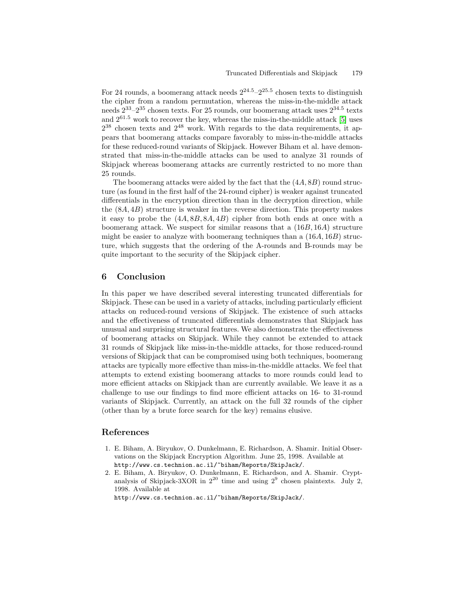<span id="page-14-0"></span>For 24 rounds, a boomerang attack needs  $2^{24.5} - 2^{25.5}$  chosen texts to distinguish the cipher from a random permutation, whereas the miss-in-the-middle attack needs  $2^{33}$ - $2^{35}$  chosen texts. For 25 rounds, our boomerang attack uses  $2^{34.5}$  texts and  $2^{61.5}$  work to recover the key, whereas the miss-in-the-middle attack [\[5\]](#page-15-0) uses  $2^{38}$  chosen texts and  $2^{48}$  work. With regards to the data requirements, it appears that boomerang attacks compare favorably to miss-in-the-middle attacks for these reduced-round variants of Skipjack. However Biham et al. have demonstrated that miss-in-the-middle attacks can be used to analyze 31 rounds of Skipjack whereas boomerang attacks are currently restricted to no more than 25 rounds.

The boomerang attacks were aided by the fact that the  $(4A, 8B)$  round structure (as found in the first half of the 24-round cipher) is weaker against truncated differentials in the encryption direction than in the decryption direction, while the  $(8A, 4B)$  structure is weaker in the reverse direction. This property makes it easy to probe the  $(4A, 8B, 8A, 4B)$  cipher from both ends at once with a boomerang attack. We suspect for similar reasons that a (16B, 16A) structure might be easier to analyze with boomerang techniques than a  $(16A, 16B)$  structure, which suggests that the ordering of the A-rounds and B-rounds may be quite important to the security of the Skipjack cipher.

# **6 Conclusion**

In this paper we have described several interesting truncated differentials for Skipjack. These can be used in a variety of attacks, including particularly efficient attacks on reduced-round versions of Skipjack. The existence of such attacks and the effectiveness of truncated differentials demonstrates that Skipjack has unusual and surprising structural features. We also demonstrate the effectiveness of boomerang attacks on Skipjack. While they cannot be extended to attack 31 rounds of Skipjack like miss-in-the-middle attacks, for those reduced-round versions of Skipjack that can be compromised using both techniques, boomerang attacks are typically more effective than miss-in-the-middle attacks. We feel that attempts to extend existing boomerang attacks to more rounds could lead to more efficient attacks on Skipjack than are currently available. We leave it as a challenge to use our findings to find more efficient attacks on 16- to 31-round variants of Skipjack. Currently, an attack on the full 32 rounds of the cipher (other than by a brute force search for the key) remains elusive.

# **References**

- 1. E. Biham, A. Biryukov, O. Dunkelmann, E. Richardson, A. Shamir. Initial Observations on the Skipjack Encryption Algorithm. June 25, 1998. Available at http://www.cs.technion.ac.il/˜biham/Reports/SkipJack/.
- 2. E. Biham, A. Biryukov, O. Dunkelmann, E. Richardson, and A. Shamir. Cryptanalysis of Skipjack-3XOR in  $2^{20}$  time and using  $2^9$  chosen plaintexts. July 2, 1998. Available at

http://www.cs.technion.ac.il/˜biham/Reports/SkipJack/.